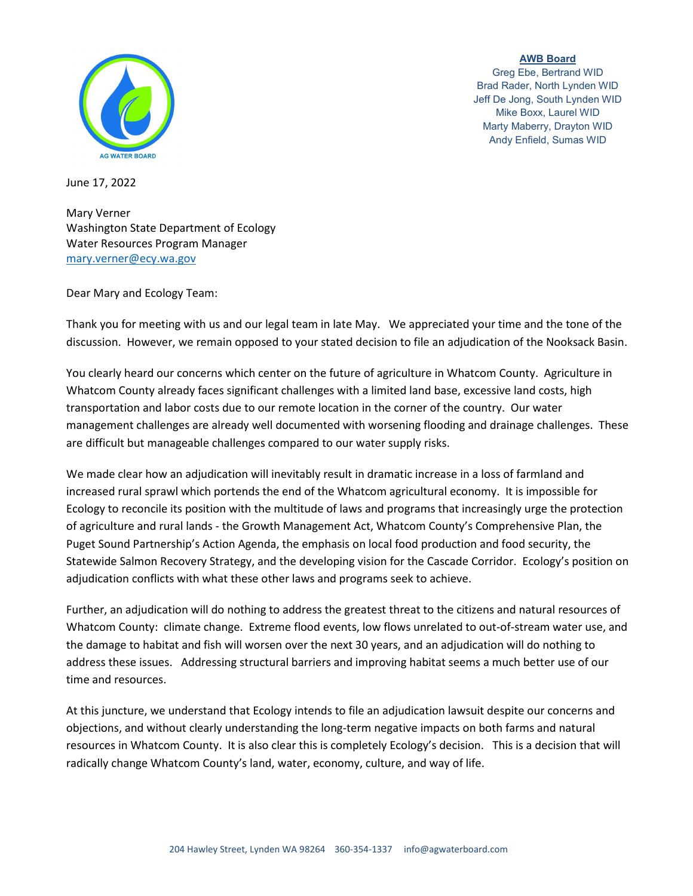

**AWB Board** Greg Ebe, Bertrand WID Brad Rader, North Lynden WID Jeff De Jong, South Lynden WID Mike Boxx, Laurel WID Marty Maberry, Drayton WID Andy Enfield, Sumas WID

June 17, 2022

Mary Verner Washington State Department of Ecology Water Resources Program Manager [mary.verner@ecy.wa.gov](mailto:mary.verner@ecy.wa.gov)

Dear Mary and Ecology Team:

Thank you for meeting with us and our legal team in late May. We appreciated your time and the tone of the discussion. However, we remain opposed to your stated decision to file an adjudication of the Nooksack Basin.

You clearly heard our concerns which center on the future of agriculture in Whatcom County. Agriculture in Whatcom County already faces significant challenges with a limited land base, excessive land costs, high transportation and labor costs due to our remote location in the corner of the country. Our water management challenges are already well documented with worsening flooding and drainage challenges. These are difficult but manageable challenges compared to our water supply risks.

We made clear how an adjudication will inevitably result in dramatic increase in a loss of farmland and increased rural sprawl which portends the end of the Whatcom agricultural economy. It is impossible for Ecology to reconcile its position with the multitude of laws and programs that increasingly urge the protection of agriculture and rural lands - the Growth Management Act, Whatcom County's Comprehensive Plan, the Puget Sound Partnership's Action Agenda, the emphasis on local food production and food security, the Statewide Salmon Recovery Strategy, and the developing vision for the Cascade Corridor. Ecology's position on adjudication conflicts with what these other laws and programs seek to achieve.

Further, an adjudication will do nothing to address the greatest threat to the citizens and natural resources of Whatcom County: climate change. Extreme flood events, low flows unrelated to out-of-stream water use, and the damage to habitat and fish will worsen over the next 30 years, and an adjudication will do nothing to address these issues. Addressing structural barriers and improving habitat seems a much better use of our time and resources.

At this juncture, we understand that Ecology intends to file an adjudication lawsuit despite our concerns and objections, and without clearly understanding the long-term negative impacts on both farms and natural resources in Whatcom County. It is also clear this is completely Ecology's decision. This is a decision that will radically change Whatcom County's land, water, economy, culture, and way of life.